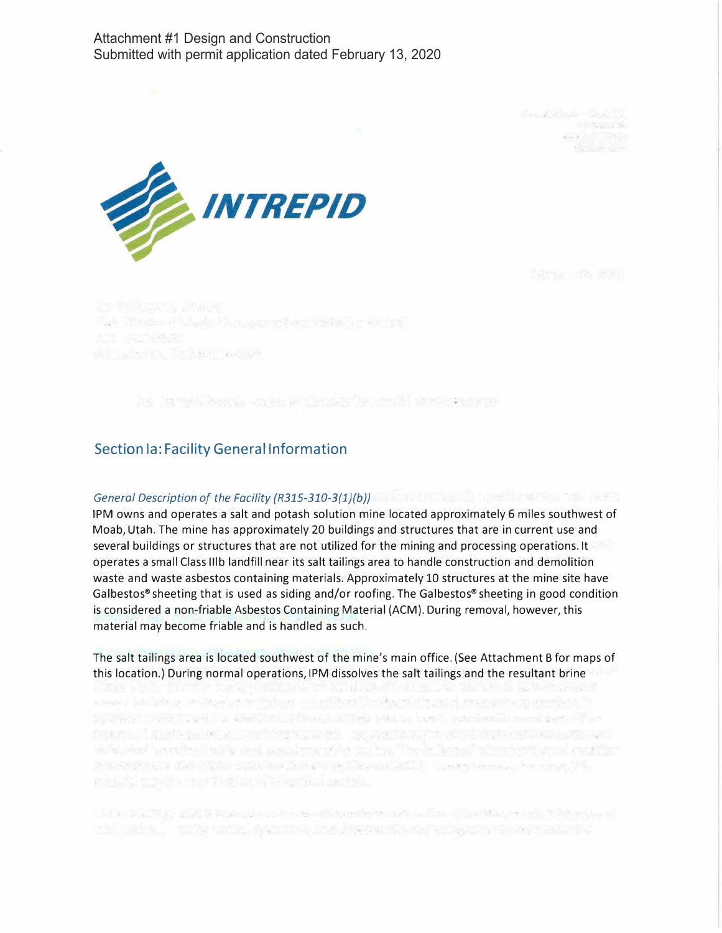### Attachment #1 Design and Construction Submitted with permit application dated February 13, 2020

There is a strong to the con-**READY TO PARTY** and the game



they introduce where his symmetry restative strates. Williams Decent Adipa

in is affirms - are infrast incola supporte

## **Section la: Facility General Information**

## *General Description of the Facility (R315-310-3{1}{b))*

1PM owns and operates a salt and potash solution mine located approximately 6 miles southwest of Moab, Utah. The mine has approximately 20 buildings and structures that are in current use and several buildings or structures that are not utilized for the mining and processing operations. It operates a small Class lllb landfill near its salt tailings area to handle construction and demolition waste and waste asbestos containing materials. Approximately 10 structures at the mine site have Galbestos® sheeting that is used as siding and/or roofing. The Galbestos® sheeting in good condition is considered a non-friable Asbestos Containing Material (ACM). During removal, however, this material may become friable and is handled as such.

The salt tailings area is located southwest of the mine's main office. (See Attachment B for maps of this location.) During normal operations, 1PM dissolves the salt tailings and the resultant brine

areas, and importance in the control of a standard controlling to a recognition of the control of SO 2004 1: 10 PROTO VISIT OF MINUTEN CONTRACTORIES AND DO SANCTO AMERICAN SHOULD BE COTTA CANDERS IN A REPORT OF THE RESEARCH CONTROLLED AND THE RESEARCH CONTROL OF THE RESEARCH CONTROL OF THE RESEARCH the support of the control of the control of the control of the control of the control of the

The contract and it represents a short have been safe with a significant can be reported the control thats uniquely process into interest the second legacy in the term of a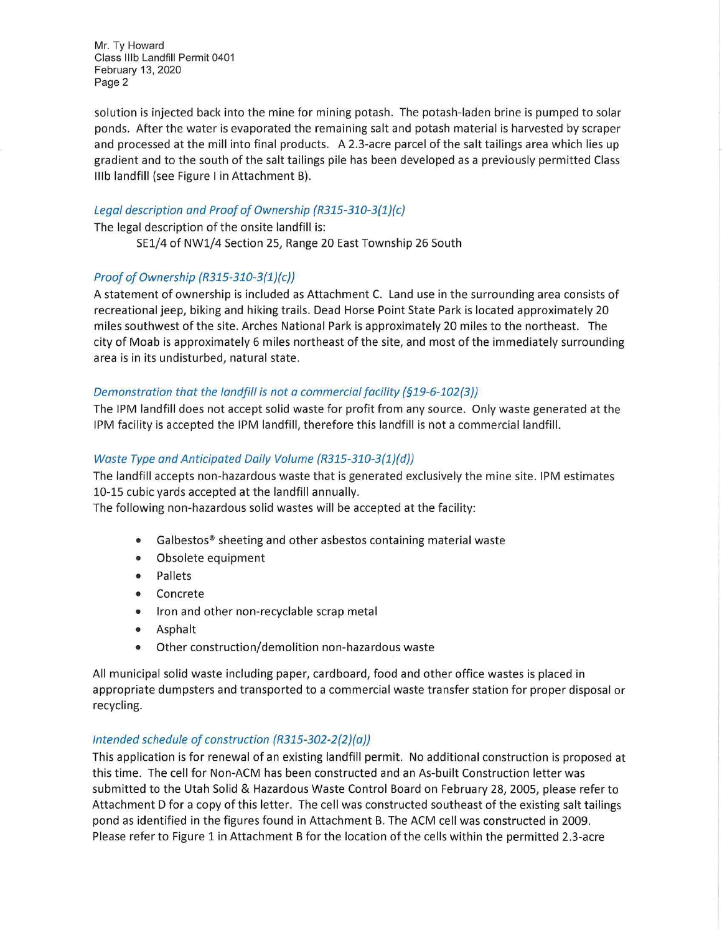Mr. Ty Howard Class lllb Landfill Permit 0401 February 13, 2020 Page 2

solution is injected back into the mine for mining potash. The potash-laden brine is pumped to solar ponds. After the water is evaporated the remaining salt and potash material is harvested by scraper and processed at the mill into final products. A 2.3-acre parcel of the salt tailings area which lies up gradient and to the south of the salt tailings pile has been developed as a previously permitted Class lllb landfill (see Figure I in Attachment B).

### Legal description and Proof of Ownership (R315-310-3{1}{c)

The legal description of the onsite landfill is: SEl/4 of NWl/4 Section 25, Range 20 East Township 26 South

# Proof of Ownership (R315-310-3(1}{c))

A statement of ownership is included as Attachment C. Land use in the surrounding area consists of recreational jeep, biking and hiking trails. Dead Horse Point State Park is located approximately 20 miles southwest of the site. Arches National Park is approximately 20 miles to the northeast. The city of Moab is approximately 6 miles northeast of the site, and most of the immediately surrounding area is in its undisturbed, natural state.

### Demonstration that the landfill is not a commercial facility (§19-6-102(3))

The 1PM landfill does not accept solid waste for profit from any source. Only waste generated at the 1PM facility is accepted the 1PM landfill, therefore this landfill is not a commercial landfill.

### Waste Type and Anticipated Daily Volume (R315-310-3(1)(d))

The landfill accepts non-hazardous waste that is generated exclusively the mine site. 1PM estimates 10-15 cubic yards accepted at the landfill annually.

The following non-hazardous solid wastes will be accepted at the facility:

- Galbestos® sheeting and other asbestos containing material waste
- Obsolete equipment
- Pallets
- Concrete
- Iron and other non-recyclable scrap metal
- Asphalt
- Other construction/demolition non-hazardous waste

All municipal solid waste including paper, cardboard, food and other office wastes is placed in appropriate dumpsters and transported to a commercial waste transfer station for proper disposal or recycling.

#### Intended schedule of construction (R315-302-2{2}{o))

This application is for renewal of an existing landfill permit. No additional construction is proposed at this time. The cell for Non-ACM has been constructed and an As-built Construction letter was submitted to the Utah Solid & Hazardous Waste Control Board on February 28, 2005, please refer to Attachment D for a copy of this letter. The cell was constructed southeast of the existing salt tailings pond as identified in the figures found in Attachment B. The ACM cell was constructed in 2009. Please refer to Figure 1 in Attachment B for the location of the cells within the permitted 2.3-acre